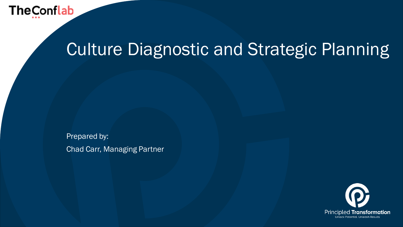

## Culture Diagnostic and Strategic Planning

Prepared by: Chad Carr, Managing Partner

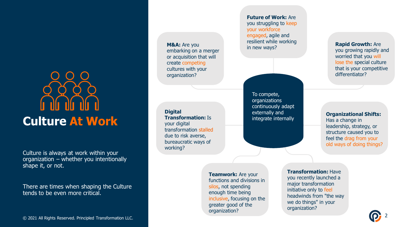## **Culture At Work**

Culture is always at work within your organization – whether you intentionally shape it, or not.

There are times when shaping the Culture tends to be even more critical.

© 2021 All Rights Reserved. Principled Transformation LLC. © 2021 All Rights Reserved. Principled Transformation LLC. 2

**M&A:** Are you embarking on a merger or acquisition that will create competing cultures with your organization?

**Digital Transformation:** Is your digital transformation stalled due to risk averse, bureaucratic ways of working?

**Future of Work:** Are you struggling to keep your workforce engaged, agile and resilient while working in new ways?

To compete, organizations continuously adapt externally and integrate internally **Rapid Growth:** Are you growing rapidly and worried that you will lose the special culture that is your competitive differentiator?

**Organizational Shifts:**  Has a change in leadership, strategy, or structure caused you to feel the drag from your old ways of doing things?

**Teamwork:** Are your functions and divisions in silos, not spending enough time being inclusive, focusing on the greater good of the organization?

**Transformation:** Have you recently launched a major transformation initiative only to feel headwinds from "the way we do things" in your organization?